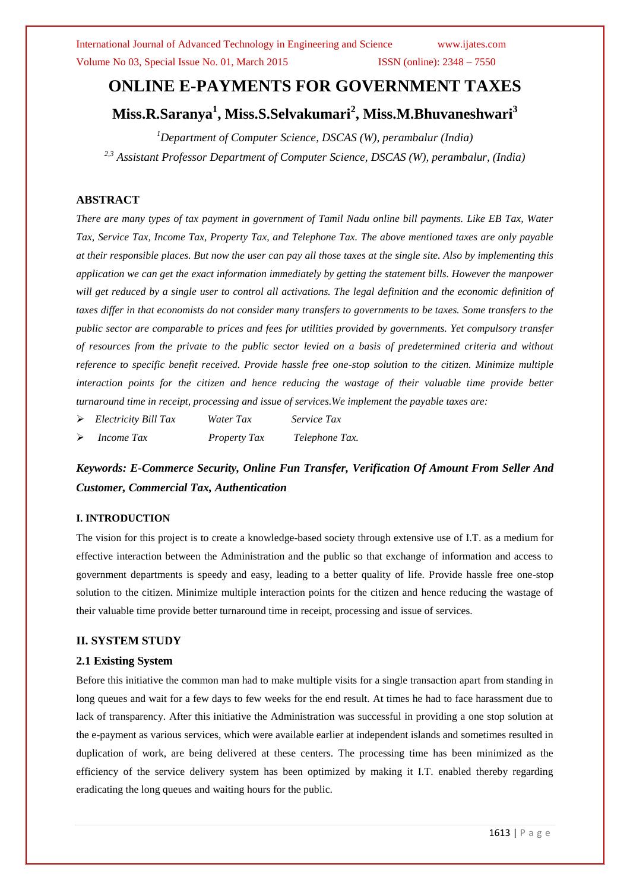International Journal of Advanced Technology in Engineering and Science www.ijates.com

Volume No 03, Special Issue No. 01, March 2015 ISSN (online): 2348 – 7550

# **ONLINE E-PAYMENTS FOR GOVERNMENT TAXES**

**Miss.R.Saranya<sup>1</sup> , Miss.S.Selvakumari<sup>2</sup> , Miss.M.Bhuvaneshwari<sup>3</sup>**

*<sup>1</sup>Department of Computer Science, DSCAS (W), perambalur (India)*

*2,3 Assistant Professor Department of Computer Science, DSCAS (W), perambalur, (India)*

# **ABSTRACT**

*There are many types of tax payment in government of Tamil Nadu online bill payments. Like EB Tax, Water Tax, Service Tax, Income Tax, Property Tax, and Telephone Tax. The above mentioned taxes are only payable at their responsible places. But now the user can pay all those taxes at the single site. Also by implementing this application we can get the exact information immediately by getting the statement bills. However the manpower* will get reduced by a single user to control all activations. The legal definition and the economic definition of *taxes differ in that economists do not consider many transfers to governments to be taxes. Some transfers to the public sector are comparable to prices and fees for utilities provided by governments. Yet compulsory transfer of resources from the private to the public sector levied on a basis of predetermined criteria and without reference to specific benefit received. Provide hassle free one-stop solution to the citizen. Minimize multiple interaction points for the citizen and hence reducing the wastage of their valuable time provide better turnaround time in receipt, processing and issue of services.We implement the payable taxes are:*

- *Electricity Bill Tax Water Tax Service Tax*
- *Income Tax Property Tax Telephone Tax.*

*Keywords: E-Commerce Security, Online Fun Transfer, Verification Of Amount From Seller And Customer, Commercial Tax, Authentication*

# **I. INTRODUCTION**

The vision for this project is to create a knowledge-based society through extensive use of I.T. as a medium for effective interaction between the Administration and the public so that exchange of information and access to government departments is speedy and easy, leading to a better quality of life. Provide hassle free one-stop solution to the citizen. Minimize multiple interaction points for the citizen and hence reducing the wastage of their valuable time provide better turnaround time in receipt, processing and issue of services.

# **II. SYSTEM STUDY**

#### **2.1 Existing System**

Before this initiative the common man had to make multiple visits for a single transaction apart from standing in long queues and wait for a few days to few weeks for the end result. At times he had to face harassment due to lack of transparency. After this initiative the Administration was successful in providing a one stop solution at the e-payment as various services, which were available earlier at independent islands and sometimes resulted in duplication of work, are being delivered at these centers. The processing time has been minimized as the efficiency of the service delivery system has been optimized by making it I.T. enabled thereby regarding eradicating the long queues and waiting hours for the public.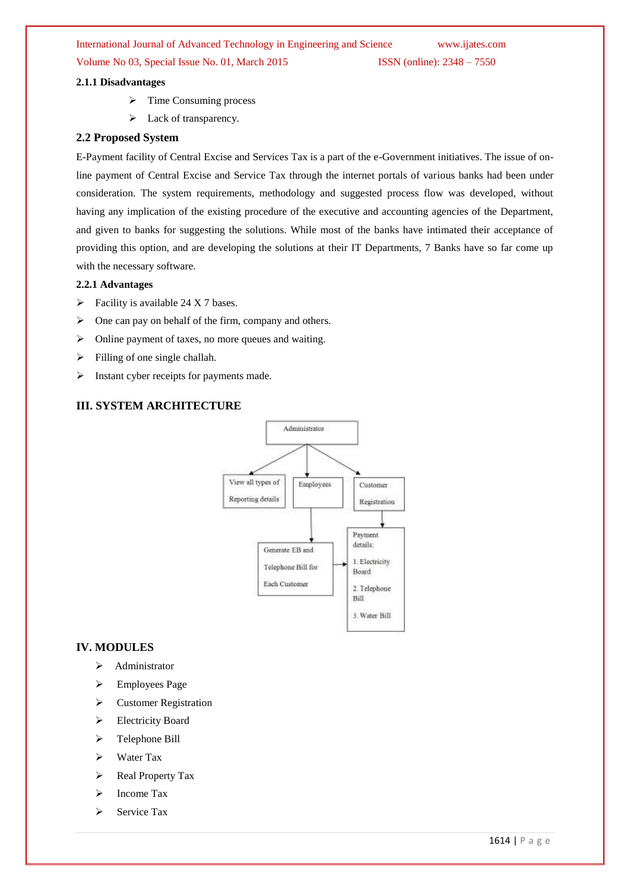International Journal of Advanced Technology in Engineering and Science www.ijates.com

# Volume No 03, Special Issue No. 01, March 2015 ISSN (online): 2348 – 7550

#### **2.1.1 Disadvantages**

- $\triangleright$  Time Consuming process
- $\blacktriangleright$  Lack of transparency.

#### **2.2 Proposed System**

E-Payment facility of Central Excise and Services Tax is a part of the e-Government initiatives. The issue of online payment of Central Excise and Service Tax through the internet portals of various banks had been under consideration. The system requirements, methodology and suggested process flow was developed, without having any implication of the existing procedure of the executive and accounting agencies of the Department, and given to banks for suggesting the solutions. While most of the banks have intimated their acceptance of providing this option, and are developing the solutions at their IT Departments, 7 Banks have so far come up with the necessary software.

#### **2.2.1 Advantages**

- $\triangleright$  Facility is available 24 X 7 bases.
- $\triangleright$  One can pay on behalf of the firm, company and others.
- $\triangleright$  Online payment of taxes, no more queues and waiting.
- $\triangleright$  Filling of one single challah.
- $\triangleright$  Instant cyber receipts for payments made.

# **III. SYSTEM ARCHITECTURE**



#### **IV. MODULES**

- $\blacktriangleright$  Administrator
- $\triangleright$  Employees Page
- Customer Registration
- Electricity Board
- > Telephone Bill
- $\triangleright$  Water Tax
- $\triangleright$  Real Property Tax
- $\triangleright$  Income Tax
- $\triangleright$  Service Tax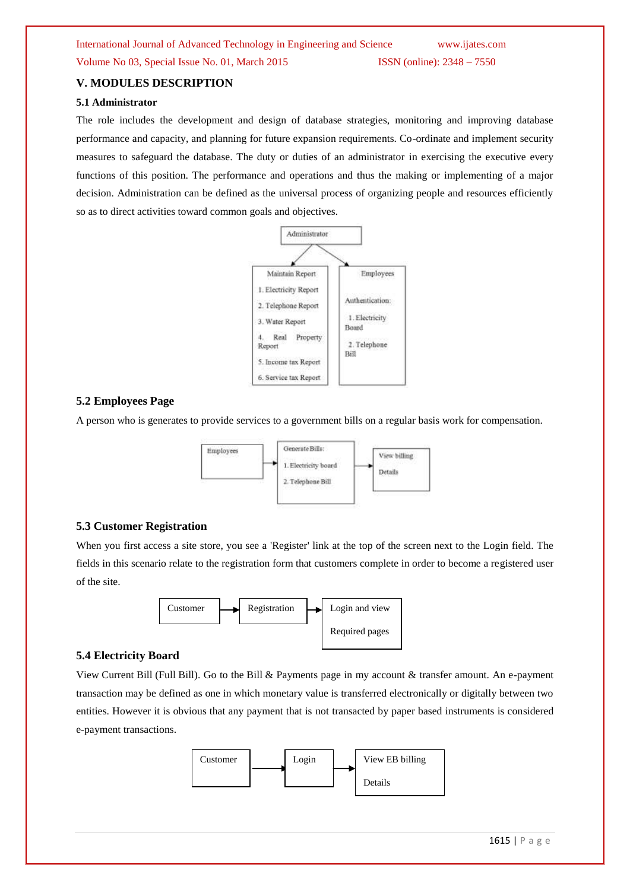# Volume No 03, Special Issue No. 01, March 2015 ISSN (online): 2348 – 7550

#### **V. MODULES DESCRIPTION**

#### **5.1 Administrator**

The role includes the development and design of database strategies, monitoring and improving database performance and capacity, and planning for future expansion requirements. Co-ordinate and implement security measures to safeguard the database. The duty or duties of an administrator in exercising the executive every functions of this position. The performance and operations and thus the making or implementing of a major decision. Administration can be defined as the universal process of organizing people and resources efficiently so as to direct activities toward common goals and objectives.



#### **5.2 Employees Page**

A person who is generates to provide services to a government bills on a regular basis work for compensation.



## **5.3 Customer Registration**

When you first access a site store, you see a 'Register' link at the top of the screen next to the Login field. The fields in this scenario relate to the registration form that customers complete in order to become a registered user of the site.



## **5.4 Electricity Board**

View Current Bill (Full Bill). Go to the Bill & Payments page in my account & transfer amount. An e-payment transaction may be defined as one in which monetary value is transferred electronically or digitally between two entities. However it is obvious that any payment that is not transacted by paper based instruments is considered e-payment transactions.

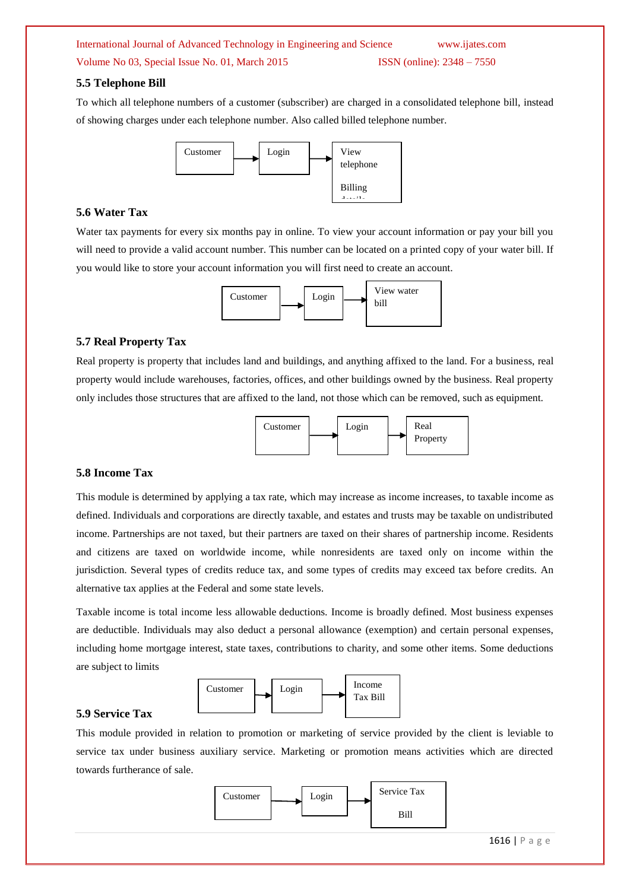International Journal of Advanced Technology in Engineering and Science www.ijates.com

# Volume No 03, Special Issue No. 01, March 2015 ISSN (online):  $2348 - 7550$

#### **5.5 Telephone Bill**

To which all telephone numbers of a customer (subscriber) are charged in a consolidated telephone bill, instead of showing charges under each telephone number. Also called billed telephone number.



## **5.6 Water Tax**

Water tax payments for every six months pay in online. To view your account information or pay your bill you will need to provide a valid account number. This number can be located on a printed copy of your water bill. If you would like to store your account information you will first need to create an account.



#### **5.7 Real Property Tax**

Real property is property that includes land and buildings, and anything affixed to the land. For a business, real property would include warehouses, factories, offices, and other buildings owned by the business. Real property only includes those structures that are affixed to the land, not those which can be removed, such as equipment.



#### **5.8 Income Tax**

This module is determined by applying a tax rate, which may increase as income increases, to taxable income as defined. Individuals and corporations are directly taxable, and estates and trusts may be taxable on undistributed income. Partnerships are not taxed, but their partners are taxed on their shares of partnership income. Residents and citizens are taxed on worldwide income, while nonresidents are taxed only on income within the jurisdiction. Several types of credits reduce tax, and some types of credits may exceed tax before credits. An alternative tax applies at the Federal and some state levels.

Taxable income is total income less allowable deductions. Income is broadly defined. Most business expenses are deductible. Individuals may also deduct a personal allowance (exemption) and certain personal expenses, including home mortgage interest, state taxes, contributions to charity, and some other items. Some deductions are subject to limits



# **5.9 Service Tax**

This module provided in relation to promotion or marketing of service provided by the client is leviable to service tax under business auxiliary service. Marketing or promotion means activities which are directed towards furtherance of sale.